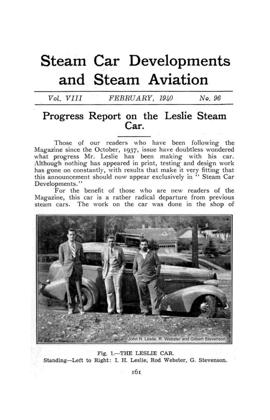# **Steam Car Developments and Steam Aviation**

*Vol. VIII FEBRUARY, 1940* No. 96

# **Progress Report on the Leslie Steam Car.**

Those of our readers who have been following the Magazine since the October, 1937, issue have doubtless wondered what progress Mr. Leslie has been making; with his car. Although nothing has appeared in print, testing and design work has gone on constantly, with results that make it very fitting that this announcement should now appear exclusively in " Steam Car Developments."

For the benefit of those who are new readers of the Magazine, this car is a rather radical departure from previous steam cars. The work on the car was done in the shop of



Fig. 1.—THE LESLIE CAR. Standing—Left to Right: I. H. Leslie, Rod Webster, G. Stevenson.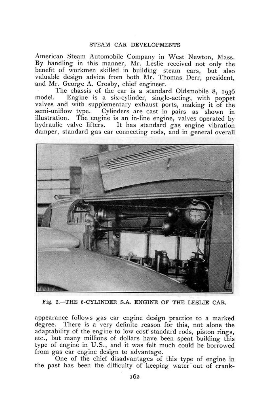#### STEAM CAK DEVELOPMENTS

American Steam Automobile Company in West Newton, Mass. By handling- in this manner, Mr. Leslie received not only the benefit of workmen skilled in building- steam cars, but also valuable design advice from both Mr. Thomas Derr, president, and Mr. George A. Crosby, chief engineer.

The chassis of the car is a standard Oldsmobile 8, 1936 model. Engine is a six-cylinder, single-acting, with poppet valves and with supplementary exhaust ports, making it of the semi-uniflow type. Cylinders are cast in pairs as shown in illustration. The engine is an in-line engine, valves operated by hydraulic valve lifters. It has standard gas engine vibration damper, standard gas car connecting- rods, and in general overall



Fig. 2.-THE 6-CYLINDER S.A. ENGINE OF THE LESLIE CAR.

appearance follows gas car engine design practice to a marked degree. There is a very definite reason for this, not alone the adaptability of the engine to low cost standard rods, piston rings, etc., but many millions of dollars have been spent building this type of engine in U.S., and it was felt much could be borrowed from gas car engine design to advantage.

One of the chief disadvantages of this type of engine in the past has been the difficulty of keeping water out of crank-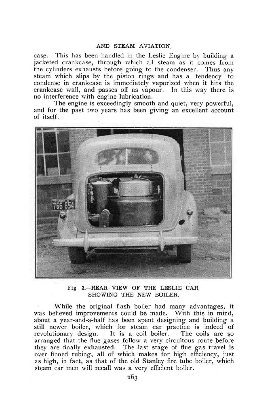### AND STEAM AVIATION.

case. This has been handled in the Leslie Engine by building a jacketed crankcase, through which all steam as it comes from the cylinders exhausts before *going* to the condenser. Thus any steam which slips by the piston rings and has a tendency to condense in crankcase is immediately vaporized when it hits the crankcase wall, and passes off as vapour. In this way there is no interference with engine lubrication.

The engine is exceedingly smooth and quiet, very powerful, and for the past two years has been giving an excellent account of itself.



Fig 3.—REAR VIEW OF THE LESLIE CAR, SHOWING THE NEW BOILER.

While the original flash boiler had many advantages, it was believed improvements could be made. With this in mind, about a year-and-a-half has been spent designing- and building a still newer boiler, which for steam car practice is indeed of revolutionary design. It is a coil boiler. The coils are so revolutionary design. It is a coil boiler. The coils are so arranged that the flue gases follow a very circuitous route before they are finally exhausted. The last stage of flue gas travel is over finned tubing, all of which makes for high efficiency, just as high, in fact, as that of the old Stanley fire tube boiler, which steam car men will recall was a very efficient boiler.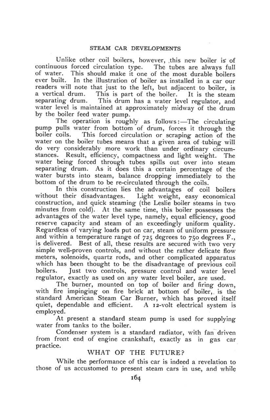Unlike other coil boilers, however, .this new boiler is of continuous forced circulation type. The tubes are always full of water. This should make it one of the most durable boilers ever built. In the illustration of boiler as installed in a car our readers will note that just to the left, but adjacent to boiler, is a vertical drum. This is part of the boiler. It is the steam separating drum. This drum has a water level regulator, and water level is maintained at approximately midway of the drum by the boiler feed water pump.

The operation is roughly as follows:—The circulating pump pulls water from bottom of drum, forces it through the boiler coils. This forced circulation or scraping- action of the water on the boiler tubes means that a given area of tubing will do very considerably more work than under ordinary circumstances. Result, efficiency, compactness and light weight. The water being forced through tubes spills out over into steam separating drum. As it does this a certain percentage of the water bursts into steam, balance dropping' immediately to the bottom of the drum to be re-circulated through the coils.

In this construction lies the advantages of coil boilers without their disadvantages. Light weight, easy economical construction, and quick steaming (the Leslie boiler steams in two minutes from cold). At the same time, this boiler possesses the advantages of the water level type, namely, equal efficiency, good reserve capacity and steam of an exceedingly uniform quality. Regardless of varying loads put on car, steam of uniform pressure and within a temperature range of  $725$  degrees to 750 degrees  $F_{.}$ , is delivered. Best of all, these results are secured with two very simple well-proven controls, and without the rather delicate flow meters, solenoids, quartz rods, and other complicated apparatus which has been thought to be the disadvantage of previous coil boilers. Just two controls, pressure control and water level regulator, exactly as used on any water level boiler, are used.

The burner, mounted on top of boiler and firing down, with fire impinging on fire brick at bottom of boiler, is the standard American Steam Car Burner, which has proved itself quiet, dependable and efficient. A i2-volt electrical system is employed.

At present a standard steam pump is used for supplying water from tanks to the boiler.

Condenser system is a standard radiator, with fan driven from front end of engine crankshaft, exactly as in gas car practice.

# WHAT OF THE FUTURE?

While the performance of this car is indeed a revelation to those of us accustomed to present steam cars in use, and while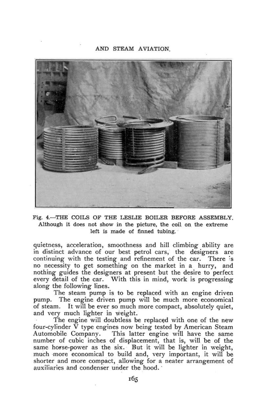#### AND STEAM AVIATION.



Fig. 4.—THE COILS OF THE LESLIE BOILER BEFORE ASSEMBLY. Although it does not show in the picture, the coil on the extreme left is made of finned tubing.

quietness, acceleration, smoothness and hill climbing ability are in distinct advance of our best petrol cars, the designers are continuing with the testing and refinement of the car. There 's no necessity to get something on the market in a hurry, and nothing guides the designers at present but the desire to perfect every detail of the car. With this in mind, work is progressing along the following lines.

The steam pump is to be replaced with an engine driven pump. The engine driven pump will be much more economical of steam. It will be ever so much more compact, absolutely quiet, and very much lighter in weight.

The engine will doubtless be replaced with one of the new four-cylinder  $\bar{V}$  type engines now being tested by American Steam<br>Automobile Company. This latter engine will have the same This latter engine will have the same number of cubic inches of displacement, that is, will be of the same horse-power as the six. But it will be lighter in weight, much more economical to build and, very important, it will be shorter and more compact, allowing for a neater arrangement of auxiliaries and condenser under the hood.